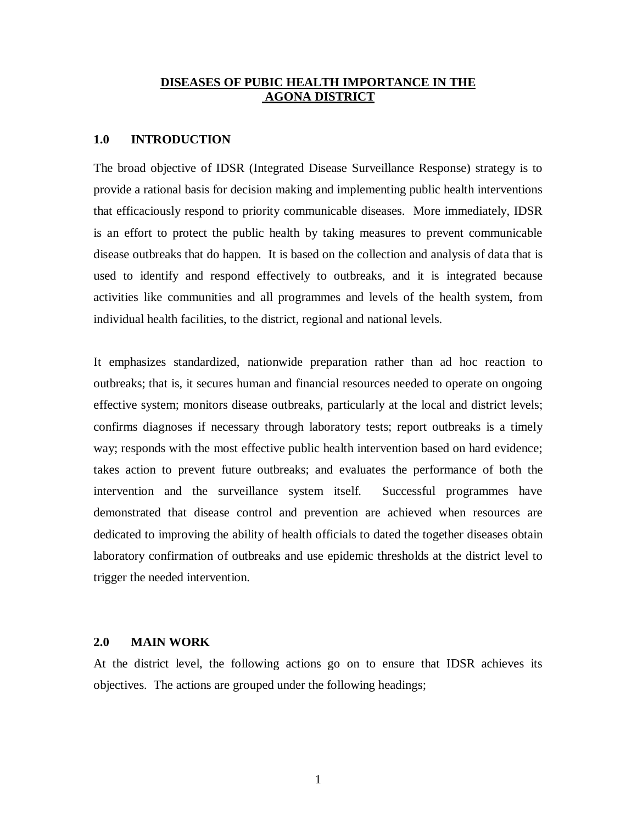#### **DISEASES OF PUBIC HEALTH IMPORTANCE IN THE AGONA DISTRICT**

#### **1.0 INTRODUCTION**

The broad objective of IDSR (Integrated Disease Surveillance Response) strategy is to provide a rational basis for decision making and implementing public health interventions that efficaciously respond to priority communicable diseases. More immediately, IDSR is an effort to protect the public health by taking measures to prevent communicable disease outbreaks that do happen. It is based on the collection and analysis of data that is used to identify and respond effectively to outbreaks, and it is integrated because activities like communities and all programmes and levels of the health system, from individual health facilities, to the district, regional and national levels.

It emphasizes standardized, nationwide preparation rather than ad hoc reaction to outbreaks; that is, it secures human and financial resources needed to operate on ongoing effective system; monitors disease outbreaks, particularly at the local and district levels; confirms diagnoses if necessary through laboratory tests; report outbreaks is a timely way; responds with the most effective public health intervention based on hard evidence; takes action to prevent future outbreaks; and evaluates the performance of both the intervention and the surveillance system itself. Successful programmes have demonstrated that disease control and prevention are achieved when resources are dedicated to improving the ability of health officials to dated the together diseases obtain laboratory confirmation of outbreaks and use epidemic thresholds at the district level to trigger the needed intervention.

#### **2.0 MAIN WORK**

At the district level, the following actions go on to ensure that IDSR achieves its objectives. The actions are grouped under the following headings;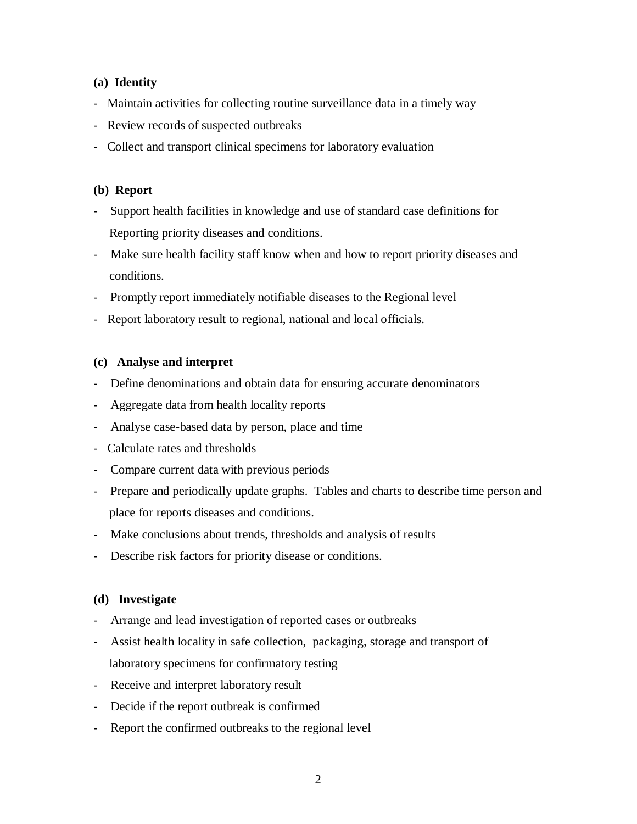#### **(a) Identity**

- Maintain activities for collecting routine surveillance data in a timely way
- Review records of suspected outbreaks
- Collect and transport clinical specimens for laboratory evaluation

#### **(b) Report**

- Support health facilities in knowledge and use of standard case definitions for Reporting priority diseases and conditions.
- Make sure health facility staff know when and how to report priority diseases and conditions.
- Promptly report immediately notifiable diseases to the Regional level
- Report laboratory result to regional, national and local officials.

#### **(c) Analyse and interpret**

- Define denominations and obtain data for ensuring accurate denominators
- Aggregate data from health locality reports
- Analyse case-based data by person, place and time
- Calculate rates and thresholds
- Compare current data with previous periods
- Prepare and periodically update graphs. Tables and charts to describe time person and place for reports diseases and conditions.
- Make conclusions about trends, thresholds and analysis of results
- Describe risk factors for priority disease or conditions.

## **(d) Investigate**

- Arrange and lead investigation of reported cases or outbreaks
- Assist health locality in safe collection, packaging, storage and transport of laboratory specimens for confirmatory testing
- Receive and interpret laboratory result
- Decide if the report outbreak is confirmed
- Report the confirmed outbreaks to the regional level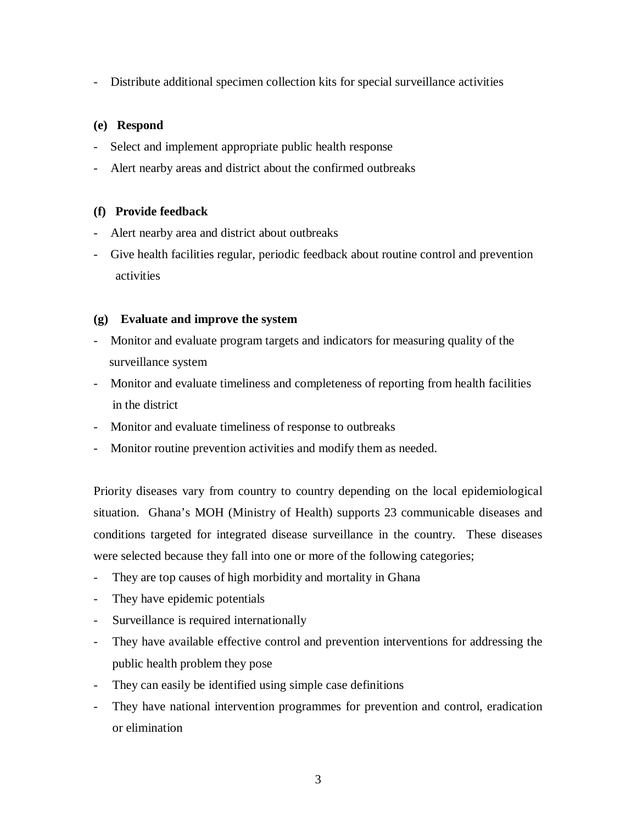- Distribute additional specimen collection kits for special surveillance activities

#### **(e) Respond**

- Select and implement appropriate public health response
- Alert nearby areas and district about the confirmed outbreaks

#### **(f) Provide feedback**

- Alert nearby area and district about outbreaks
- Give health facilities regular, periodic feedback about routine control and prevention activities

#### **(g) Evaluate and improve the system**

- Monitor and evaluate program targets and indicators for measuring quality of the surveillance system
- Monitor and evaluate timeliness and completeness of reporting from health facilities in the district
- Monitor and evaluate timeliness of response to outbreaks
- Monitor routine prevention activities and modify them as needed.

Priority diseases vary from country to country depending on the local epidemiological situation. Ghana's MOH (Ministry of Health) supports 23 communicable diseases and conditions targeted for integrated disease surveillance in the country. These diseases were selected because they fall into one or more of the following categories;

- They are top causes of high morbidity and mortality in Ghana
- They have epidemic potentials
- Surveillance is required internationally
- They have available effective control and prevention interventions for addressing the public health problem they pose
- They can easily be identified using simple case definitions
- They have national intervention programmes for prevention and control, eradication or elimination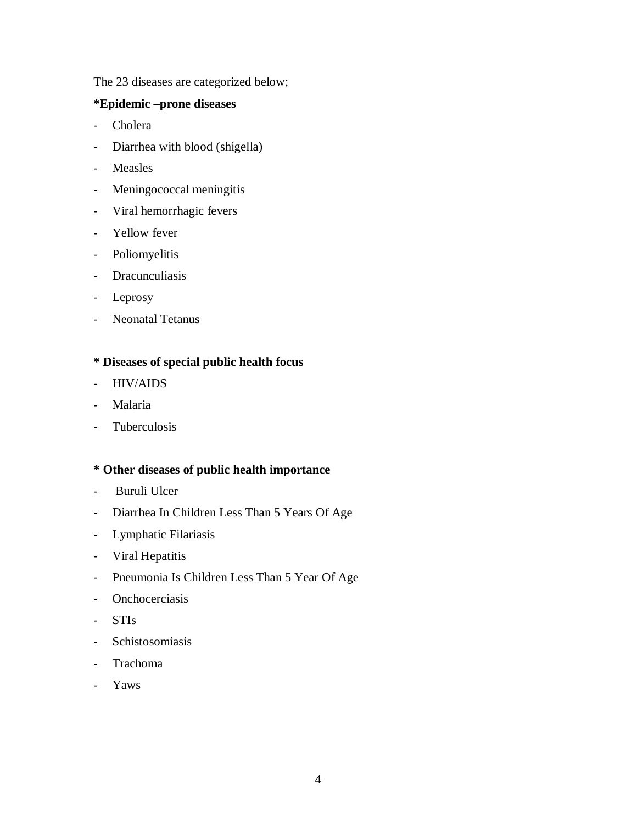The 23 diseases are categorized below;

## **\*Epidemic –prone diseases**

- Cholera
- Diarrhea with blood (shigella)
- Measles
- Meningococcal meningitis
- Viral hemorrhagic fevers
- Yellow fever
- Poliomyelitis
- Dracunculiasis
- Leprosy
- Neonatal Tetanus

# **\* Diseases of special public health focus**

- HIV/AIDS
- Malaria
- Tuberculosis

#### **\* Other diseases of public health importance**

- Buruli Ulcer
- Diarrhea In Children Less Than 5 Years Of Age
- Lymphatic Filariasis
- Viral Hepatitis
- Pneumonia Is Children Less Than 5 Year Of Age
- Onchocerciasis
- STIs
- Schistosomiasis
- Trachoma
- Yaws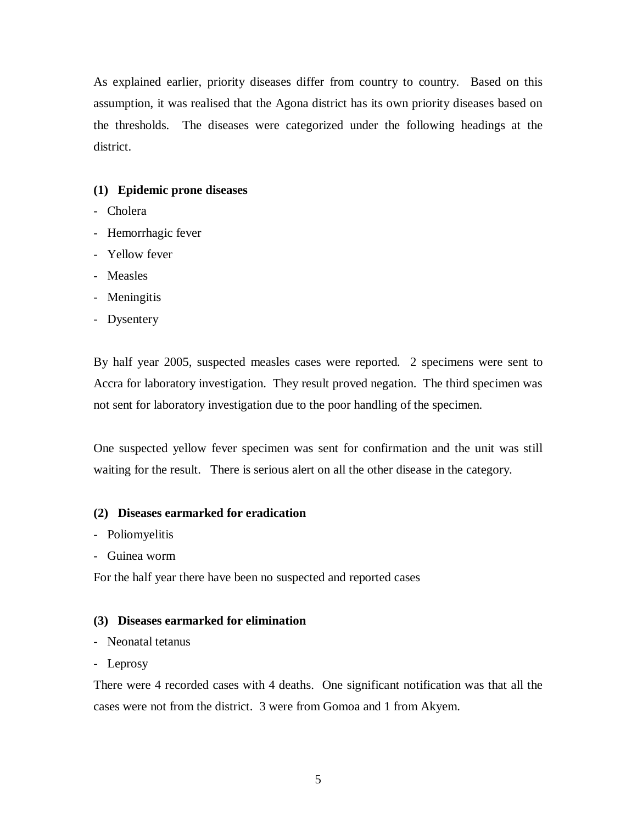As explained earlier, priority diseases differ from country to country. Based on this assumption, it was realised that the Agona district has its own priority diseases based on the thresholds. The diseases were categorized under the following headings at the district.

## **(1) Epidemic prone diseases**

- Cholera
- Hemorrhagic fever
- Yellow fever
- Measles
- Meningitis
- Dysentery

By half year 2005, suspected measles cases were reported. 2 specimens were sent to Accra for laboratory investigation. They result proved negation. The third specimen was not sent for laboratory investigation due to the poor handling of the specimen.

One suspected yellow fever specimen was sent for confirmation and the unit was still waiting for the result. There is serious alert on all the other disease in the category.

## **(2) Diseases earmarked for eradication**

- Poliomyelitis
- Guinea worm

For the half year there have been no suspected and reported cases

## **(3) Diseases earmarked for elimination**

- Neonatal tetanus
- Leprosy

There were 4 recorded cases with 4 deaths. One significant notification was that all the cases were not from the district. 3 were from Gomoa and 1 from Akyem.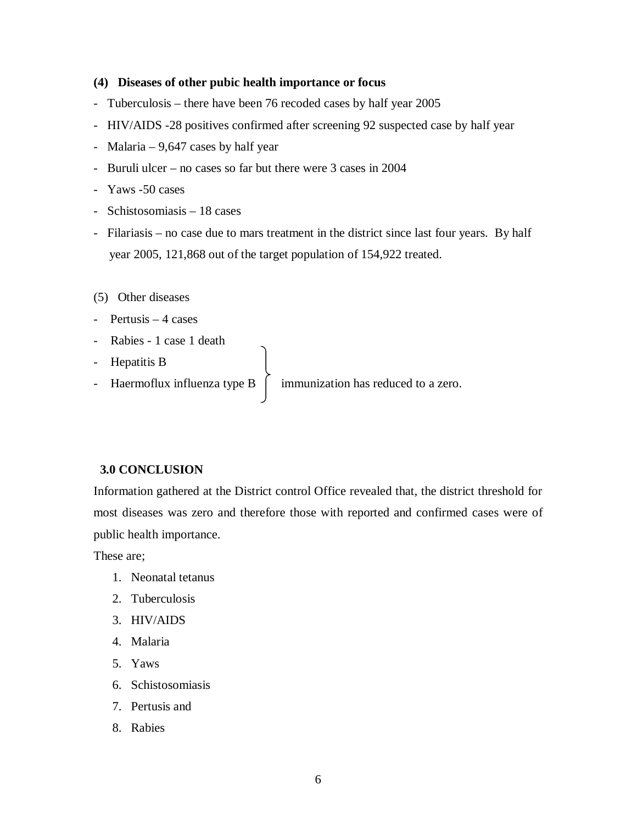#### **(4) Diseases of other pubic health importance or focus**

- Tuberculosis there have been 76 recoded cases by half year 2005
- HIV/AIDS -28 positives confirmed after screening 92 suspected case by half year
- Malaria 9,647 cases by half year
- Buruli ulcer no cases so far but there were 3 cases in 2004
- Yaws -50 cases
- Schistosomiasis 18 cases
- Filariasis no case due to mars treatment in the district since last four years. By half year 2005, 121,868 out of the target population of 154,922 treated.
- (5) Other diseases
- Pertusis 4 cases
- Rabies 1 case 1 death
- Hepatitis B
- 

- Haermoflux influenza type  $B \left[ \right]$  immunization has reduced to a zero.

#### **3.0 CONCLUSION**

Information gathered at the District control Office revealed that, the district threshold for most diseases was zero and therefore those with reported and confirmed cases were of public health importance.

These are;

- 1. Neonatal tetanus
- 2. Tuberculosis
- 3. HIV/AIDS
- 4. Malaria
- 5. Yaws
- 6. Schistosomiasis
- 7. Pertusis and
- 8. Rabies